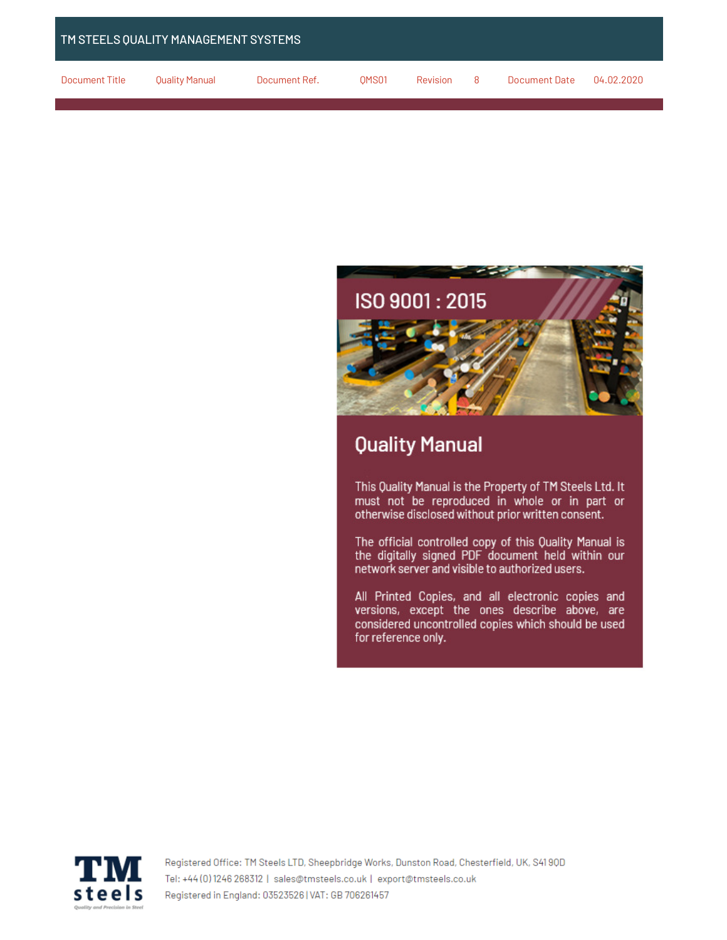| TM STEELS QUALITY MANAGEMENT SYSTEMS |                |               |       |          |   |               |            |
|--------------------------------------|----------------|---------------|-------|----------|---|---------------|------------|
| Document Title                       | Quality Manual | Document Ref. | OMS01 | Revision | 8 | Document Date | 04.02.2020 |



# **Quality Manual**

This Quality Manual is the Property of TM Steels Ltd. It must not be reproduced in whole or in part or otherwise disclosed without prior written consent.

The official controlled copy of this Quality Manual is the digitally signed PDF document held within our network server and visible to authorized users.

All Printed Copies, and all electronic copies and versions, except the ones describe above, are considered uncontrolled copies which should be used for reference only.

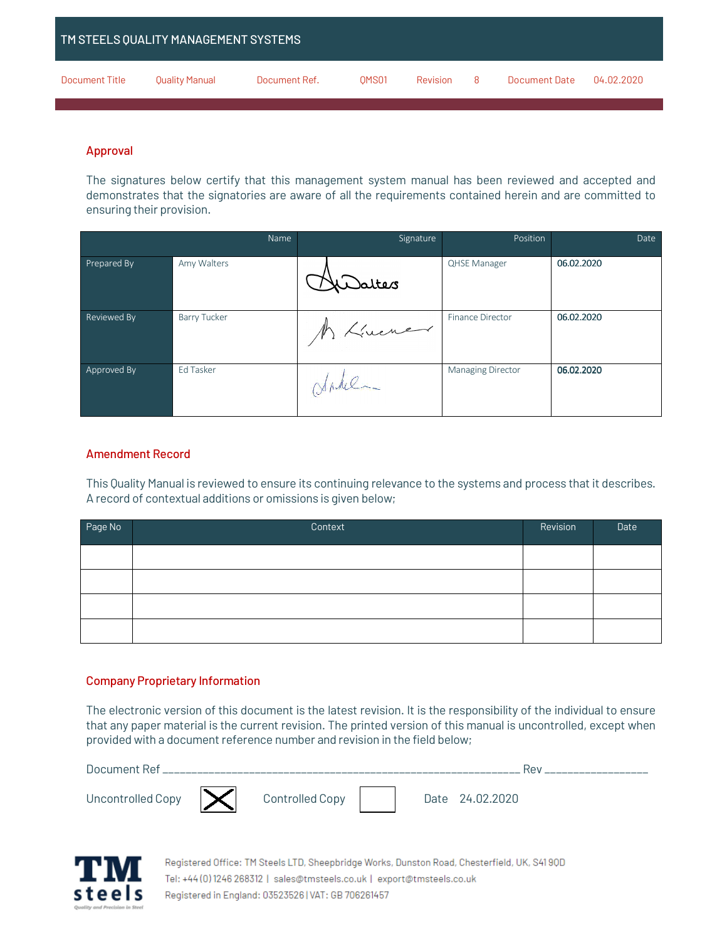| TM STEELS QUALITY MANAGEMENT SYSTEMS |                |               |       |          |    |               |            |
|--------------------------------------|----------------|---------------|-------|----------|----|---------------|------------|
| Document Title                       | Quality Manual | Document Ref. | OMS01 | Revision | -8 | Document Date | 04.02.2020 |

# Approval

The signatures below certify that this management system manual has been reviewed and accepted and demonstrates that the signatories are aware of all the requirements contained herein and are committed to ensuring their provision.

|             | Name                | Signature | Position                | Date       |
|-------------|---------------------|-----------|-------------------------|------------|
| Prepared By | Amy Walters         | xWaltes   | <b>QHSE Manager</b>     | 06.02.2020 |
| Reviewed By | <b>Barry Tucker</b> | A Linener | <b>Finance Director</b> | 06.02.2020 |
| Approved By | Ed Tasker           | Johl      | Managing Director       | 06.02.2020 |

# Amendment Record

This Quality Manual is reviewed to ensure its continuing relevance to the systems and process that it describes. A record of contextual additions or omissions is given below;

| Page No | Context | Revision | Date |
|---------|---------|----------|------|
|         |         |          |      |
|         |         |          |      |
|         |         |          |      |
|         |         |          |      |

### Company Proprietary Information

The electronic version of this document is the latest revision. It is the responsibility of the individual to ensure that any paper material is the current revision. The printed version of this manual is uncontrolled, except when provided with a document reference number and revision in the field below;

| Document Ref.                |                 |  | Rei             |
|------------------------------|-----------------|--|-----------------|
| Uncontrolled Copy $ \times $ | Controlled Copy |  | Date 24.02.2020 |

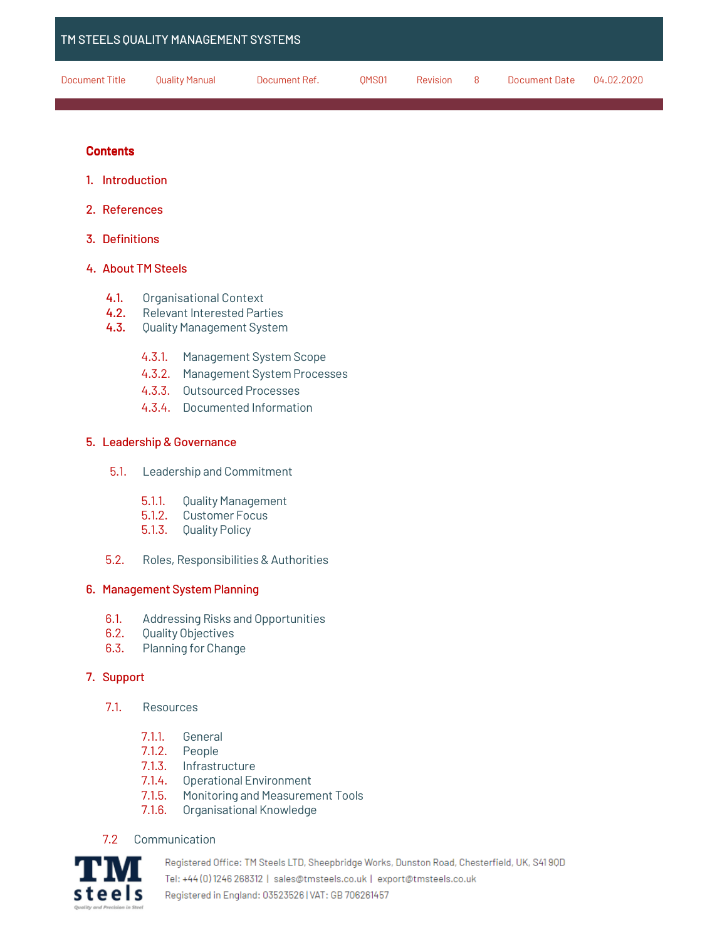| TM STEELS QUALITY MANAGEMENT SYSTEMS |                       |               |                   |          |    |               |            |
|--------------------------------------|-----------------------|---------------|-------------------|----------|----|---------------|------------|
| Document Title                       | <b>Quality Manual</b> | Document Ref. | OMS <sub>01</sub> | Revision | -8 | Document Date | 04.02.2020 |

# **Contents**

- 1. Introduction
- 2. References
- 3. Definitions

# 4. About TM Steels

- 4.1. Organisational Context
- 4.2. Relevant Interested Parties
- 4.3. Quality Management System
	- 4.3.1. Management System Scope
	- 4.3.2. Management System Processes
	- 4.3.3. Outsourced Processes
	- 4.3.4. Documented Information

### 5. Leadership & Governance

- 5.1. Leadership and Commitment
	- 5.1.1. Quality Management
	- 5.1.2. Customer Focus
	- 5.1.3. Quality Policy
- 5.2. Roles, Responsibilities & Authorities

### 6. Management System Planning

- 6.1. Addressing Risks and Opportunities
- 6.2. Quality Objectives
- 6.3. Planning for Change

### 7. Support

- 7.1. Resources
	- **7.1.1.** General<br>**7.1.2.** People
	- People
	- 7.1.3. Infrastructure
	- 7.1.4. Operational Environment
	- 7.1.5. Monitoring and Measurement Tools
	- 7.1.6. Organisational Knowledge

### 7.2 Communication

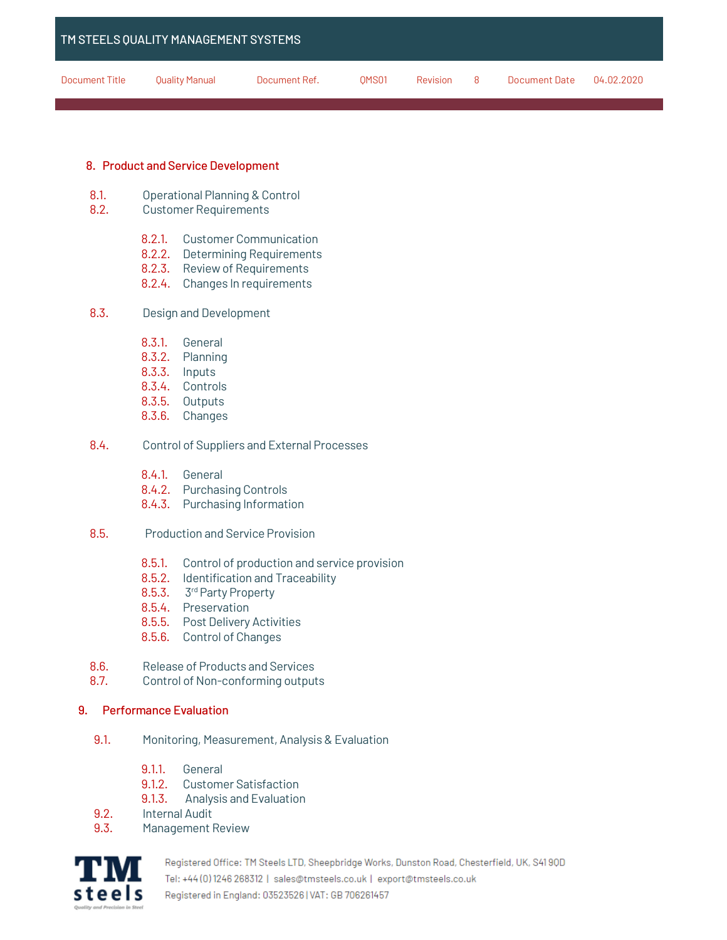|                | TM STEELS QUALITY MANAGEMENT SYSTEMS |               |                   |          |   |               |            |
|----------------|--------------------------------------|---------------|-------------------|----------|---|---------------|------------|
| Document Title | Quality Manual                       | Document Ref. | OMS <sub>01</sub> | Revision | 8 | Document Date | 04.02.2020 |

### 8. Product and Service Development

- 8.1. Operational Planning & Control
- 8.2. Customer Requirements
	- 8.2.1. Customer Communication
	- 8.2.2. Determining Requirements
	- 8.2.3. Review of Requirements
	- 8.2.4. Changes In requirements
- 8.3. Design and Development
	- 8.3.1. General
	- 8.3.2. Planning
	- 8.3.3. Inputs
	- 8.3.4. Controls
	- 8.3.5. Outputs
	- 8.3.6. Changes

### 8.4. Control of Suppliers and External Processes

- 8.4.1. General
- 8.4.2. Purchasing Controls
- 8.4.3. Purchasing Information
- 8.5. Production and Service Provision
	- 8.5.1. Control of production and service provision
	- 8.5.2. Identification and Traceability
	- 8.5.3. 3<sup>rd</sup> Party Property
	- 8.5.4. Preservation
	- 8.5.5. Post Delivery Activities
	- 8.5.6. Control of Changes
- 8.6. Release of Products and Services
- 8.7. Control of Non-conforming outputs

#### 9. Performance Evaluation

- 9.1. Monitoring, Measurement, Analysis & Evaluation
	- 9.1.1. General
	- 9.1.2. Customer Satisfaction
	- 9.1.3. Analysis and Evaluation
- 9.2. Internal Audit
- 9.3. Management Review

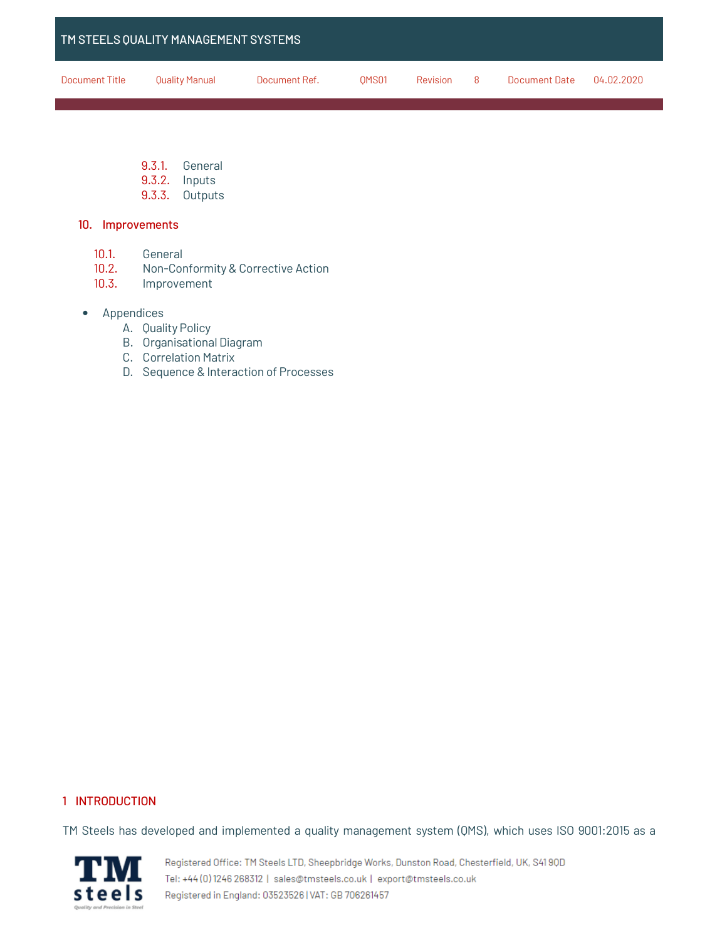| TM STEELS QUALITY MANAGEMENT SYSTEMS |                |               |       |          |    |               |            |
|--------------------------------------|----------------|---------------|-------|----------|----|---------------|------------|
| Document Title                       | Quality Manual | Document Ref. | OMS01 | Revision | -8 | Document Date | በ4.በ2.2በ2በ |

- 9.3.1. General
- 9.3.2. Inputs
- 9.3.3. Outputs

### 10. Improvements

- 10.1. General<br>10.2. Non-Cor
- Non-Conformity & Corrective Action
- 10.3. Improvement
- Appendices
	- A. Quality Policy
	- B. Organisational Diagram
	- C. Correlation Matrix
	- D. Sequence & Interaction of Processes

### 1 INTRODUCTION

TM Steels has developed and implemented a quality management system (QMS), which uses ISO 9001:2015 as a

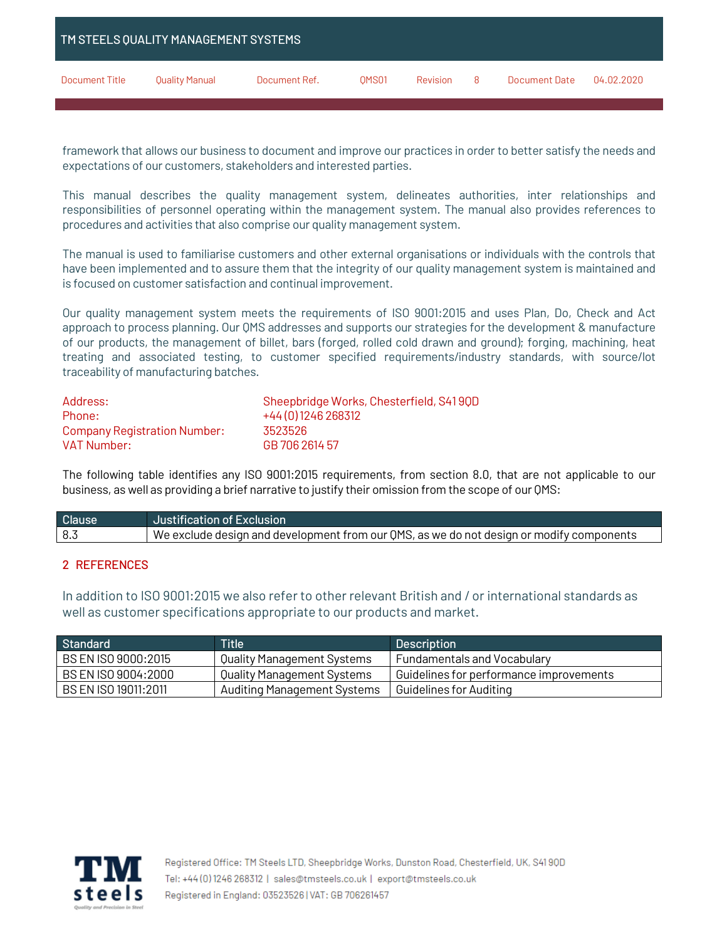| TM STEELS QUALITY MANAGEMENT SYSTEMS |                |               |       |          |    |               |            |
|--------------------------------------|----------------|---------------|-------|----------|----|---------------|------------|
| <b>Document Title</b>                | Quality Manual | Document Ref. | OMS01 | Revision | -8 | Document Date | 04.02.2020 |

framework that allows our business to document and improve our practices in order to better satisfy the needs and expectations of our customers, stakeholders and interested parties.

This manual describes the quality management system, delineates authorities, inter relationships and responsibilities of personnel operating within the management system. The manual also provides references to procedures and activities that also comprise our quality management system.

The manual is used to familiarise customers and other external organisations or individuals with the controls that have been implemented and to assure them that the integrity of our quality management system is maintained and is focused on customer satisfaction and continual improvement.

Our quality management system meets the requirements of ISO 9001:2015 and uses Plan, Do, Check and Act approach to process planning. Our QMS addresses and supports our strategies for the development & manufacture of our products, the management of billet, bars (forged, rolled cold drawn and ground); forging, machining, heat treating and associated testing, to customer specified requirements/industry standards, with source/lot traceability of manufacturing batches.

| Address:                     | Sheepbridge Works, Chesterfield, S4190D |
|------------------------------|-----------------------------------------|
| Phone:                       | +44(0)1246268312                        |
| Company Registration Number: | 3523526                                 |
| VAT Number:                  | GB 706 2614 57                          |

The following table identifies any ISO 9001:2015 requirements, from section 8.0, that are not applicable to our business, as well as providing a brief narrative to justify their omission from the scope of our QMS:

| <b>Clause</b> | <b>Justification of Exclusion</b>                                                        |
|---------------|------------------------------------------------------------------------------------------|
| -8.3          | We exclude design and development from our QMS, as we do not design or modify components |

### 2 REFERENCES

In addition to ISO 9001:2015 we also refer to other relevant British and / or international standards as well as customer specifications appropriate to our products and market.

| Standard             | Title'                      | <b>Description</b>                          |
|----------------------|-----------------------------|---------------------------------------------|
| BS EN ISO 9000:2015  | Quality Management Systems  | Fundamentals and Vocabulary                 |
| BS EN ISO 9004:2000  | Quality Management Systems  | l Guidelines for performance improvements i |
| BS EN ISO 19011:2011 | Auditing Management Systems | - Guidelines for Auditina                   |

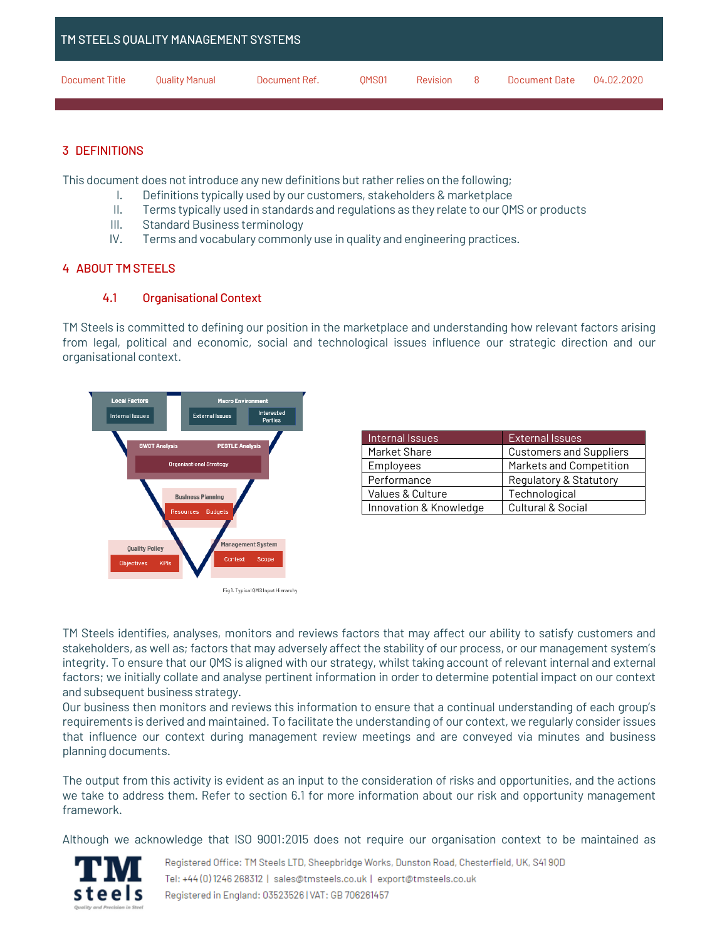|                | TM STEELS QUALITY MANAGEMENT SYSTEMS |               |                   |          |    |               |            |
|----------------|--------------------------------------|---------------|-------------------|----------|----|---------------|------------|
| Document Title | Quality Manual                       | Document Ref. | OMS <sub>01</sub> | Revision | -8 | Document Date | 04.02.2020 |

# 3 DEFINITIONS

This document does not introduce any new definitions but rather relies on the following;

- I. Definitions typically used by our customers, stakeholders & marketplace
- II. Terms typically used in standards and regulations as they relate to our QMS or products
- III. Standard Business terminology
- IV. Terms and vocabulary commonly use in quality and engineering practices.

### 4 ABOUT TM STEELS

### 4.1 Organisational Context

TM Steels is committed to defining our position in the marketplace and understanding how relevant factors arising from legal, political and economic, social and technological issues influence our strategic direction and our organisational context.



|  | Fig 1. Typical QMS Input Hierarchy |
|--|------------------------------------|

| Internal Issues             | <b>External Issues</b>         |
|-----------------------------|--------------------------------|
| Market Share                | <b>Customers and Suppliers</b> |
| Employees                   | Markets and Competition        |
| Performance                 | Regulatory & Statutory         |
| <b>Values &amp; Culture</b> | Technological                  |
| Innovation & Knowledge      | Cultural & Social              |

TM Steels identifies, analyses, monitors and reviews factors that may affect our ability to satisfy customers and stakeholders, as well as; factors that may adversely affect the stability of our process, or our management system's integrity. To ensure that our QMS is aligned with our strategy, whilst taking account of relevant internal and external factors; we initially collate and analyse pertinent information in order to determine potential impact on our context and subsequent business strategy.

Our business then monitors and reviews this information to ensure that a continual understanding of each group's requirements is derived and maintained. To facilitate the understanding of our context, we regularly consider issues that influence our context during management review meetings and are conveyed via minutes and business planning documents.

The output from this activity is evident as an input to the consideration of risks and opportunities, and the actions we take to address them. Refer to section 6.1 for more information about our risk and opportunity management framework.

Although we acknowledge that ISO 9001:2015 does not require our organisation context to be maintained as

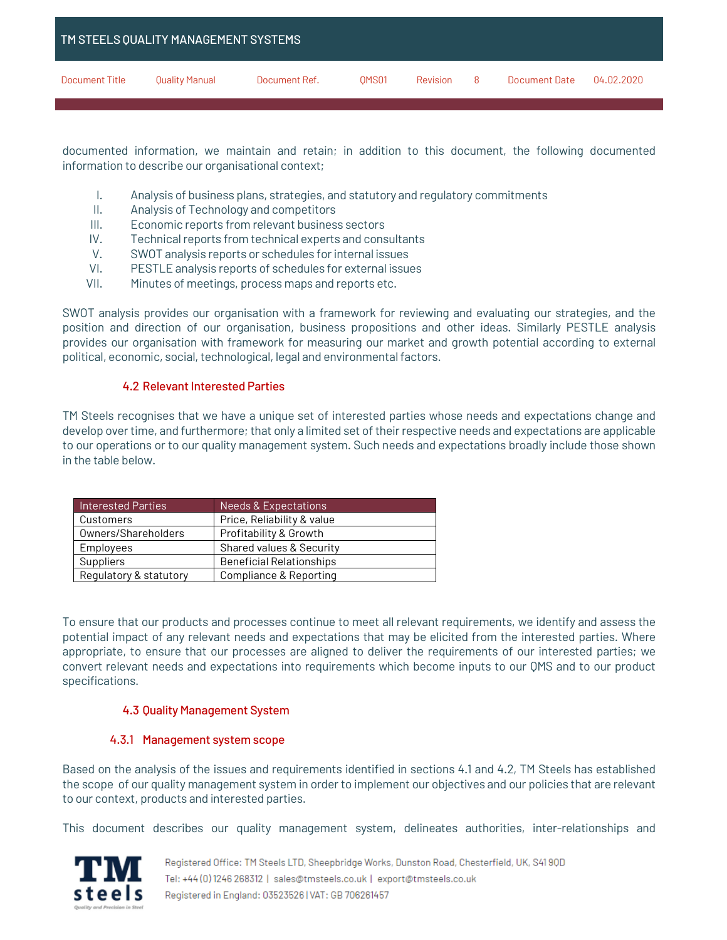|                       | TM STEELS QUALITY MANAGEMENT SYSTEMS |               |                   |          |    |               |            |
|-----------------------|--------------------------------------|---------------|-------------------|----------|----|---------------|------------|
| <b>Document Title</b> | <b>Quality Manual</b>                | Document Ref. | OMS <sub>01</sub> | Revision | -8 | Document Date | 04.02.2020 |

documented information, we maintain and retain; in addition to this document, the following documented information to describe our organisational context;

- I. Analysis of business plans, strategies, and statutory and regulatory commitments
- II. Analysis of Technology and competitors
- III. Economic reports from relevant business sectors
- IV. Technical reports from technical experts and consultants
- V. SWOT analysis reports or schedules for internal issues
- VI. PESTLE analysis reports of schedules for external issues
- VII. Minutes of meetings, process maps and reports etc.

SWOT analysis provides our organisation with a framework for reviewing and evaluating our strategies, and the position and direction of our organisation, business propositions and other ideas. Similarly PESTLE analysis provides our organisation with framework for measuring our market and growth potential according to external political, economic, social, technological, legal and environmental factors.

# 4.2 Relevant Interested Parties

TM Steels recognises that we have a unique set of interested parties whose needs and expectations change and develop over time, and furthermore; that only a limited set of their respective needs and expectations are applicable to our operations or to our quality management system. Such needs and expectations broadly include those shown in the table below.

| Interested Parties     | Needs & Expectations            |
|------------------------|---------------------------------|
| Customers              | Price, Reliability & value      |
| Owners/Shareholders    | Profitability & Growth          |
| Employees              | Shared values & Security        |
| Suppliers              | <b>Beneficial Relationships</b> |
| Regulatory & statutory | Compliance & Reporting          |

To ensure that our products and processes continue to meet all relevant requirements, we identify and assess the potential impact of any relevant needs and expectations that may be elicited from the interested parties. Where appropriate, to ensure that our processes are aligned to deliver the requirements of our interested parties; we convert relevant needs and expectations into requirements which become inputs to our QMS and to our product specifications.

# 4.3 Quality Management System

### 4.3.1 Management system scope

Based on the analysis of the issues and requirements identified in sections 4.1 and 4.2, TM Steels has established the scope of our quality management system in order to implement our objectives and our policies that are relevant to our context, products and interested parties.

This document describes our quality management system, delineates authorities, inter-relationships and

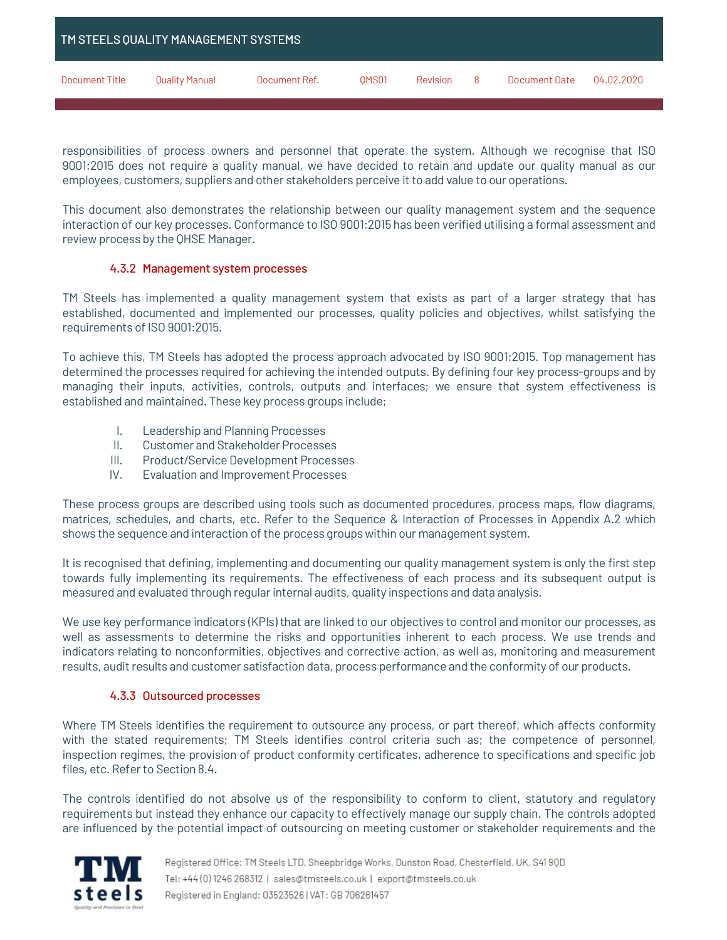|                       | <b>TM STEELS QUALITY MANAGEMENT SYSTEMS</b> |               |       |          |    |               |            |
|-----------------------|---------------------------------------------|---------------|-------|----------|----|---------------|------------|
| <b>Document Title</b> | Quality Manual                              | Document Ref. | OMS01 | Revision | -8 | Document Date | 04.02.2020 |

responsibilities of process owners and personnel that operate the system. Although we recognise that ISO 9001:2015 does not require a quality manual, we have decided to retain and update our quality manual as our employees, customers, suppliers and other stakeholders perceive it to add value to our operations.

This document also demonstrates the relationship between our quality management system and the sequence interaction of our key processes. Conformance to ISO 9001:2015 has been verified utilising a formal assessment and review process by the QHSE Manager.

### 4.3.2 Management system processes

TM Steels has implemented a quality management system that exists as part of a larger strategy that has established, documented and implemented our processes, quality policies and objectives, whilst satisfying the requirements of ISO 9001:2015.

To achieve this, TM Steels has adopted the process approach advocated by ISO 9001:2015. Top management has determined the processes required for achieving the intended outputs. By defining four key process-groups and by managing their inputs, activities, controls, outputs and interfaces; we ensure that system effectiveness is established and maintained. These key process groups include;

- I. Leadership and Planning Processes
- II. Customer and Stakeholder Processes
- III. Product/Service Development Processes
- IV. Evaluation and Improvement Processes

These process groups are described using tools such as documented procedures, process maps, flow diagrams, matrices, schedules, and charts, etc. Refer to the Sequence & Interaction of Processes in Appendix A.2 which shows the sequence and interaction of the process groups within our management system.

It is recognised that defining, implementing and documenting our quality management system is only the first step towards fully implementing its requirements. The effectiveness of each process and its subsequent output is measured and evaluated through regular internal audits, quality inspections and data analysis.

We use key performance indicators (KPIs) that are linked to our objectives to control and monitor our processes, as well as assessments to determine the risks and opportunities inherent to each process. We use trends and indicators relating to nonconformities, objectives and corrective action, as well as, monitoring and measurement results, audit results and customer satisfaction data, process performance and the conformity of our products.

# 4.3.3 Outsourced processes

Where TM Steels identifies the requirement to outsource any process, or part thereof, which affects conformity with the stated requirements; TM Steels identifies control criteria such as; the competence of personnel, inspection regimes, the provision of product conformity certificates, adherence to specifications and specific job files, etc. Refer to Section 8.4.

The controls identified do not absolve us of the responsibility to conform to client, statutory and regulatory requirements but instead they enhance our capacity to effectively manage our supply chain. The controls adopted are influenced by the potential impact of outsourcing on meeting customer or stakeholder requirements and the

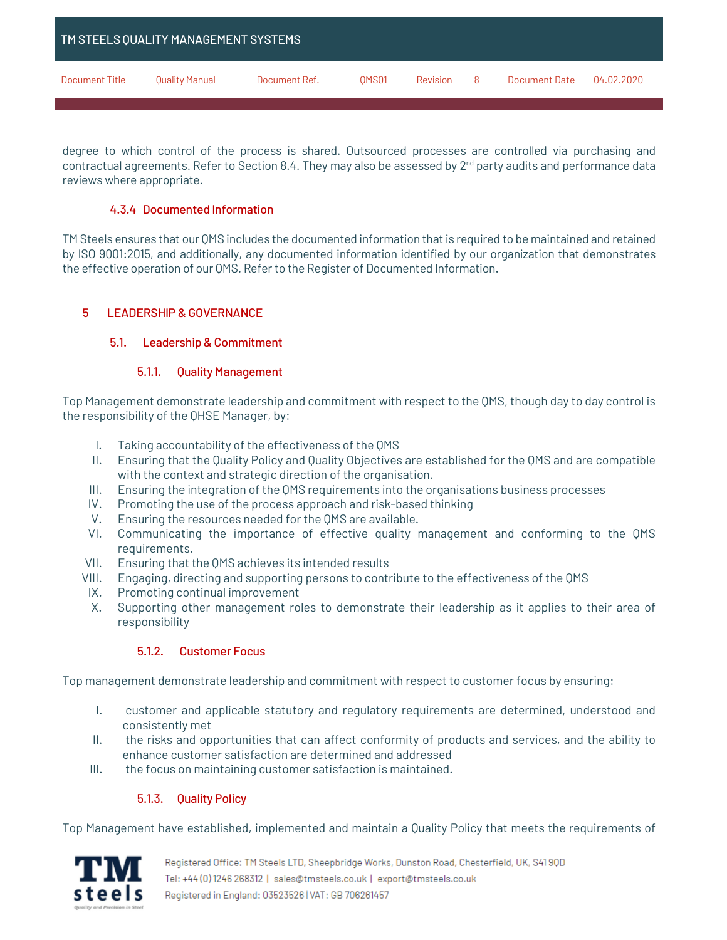|                | TM STEELS QUALITY MANAGEMENT SYSTEMS |               |                   |          |    |               |            |
|----------------|--------------------------------------|---------------|-------------------|----------|----|---------------|------------|
| Document Title | <b>Quality Manual</b>                | Document Ref. | OMS <sub>01</sub> | Revision | -8 | Document Date | 04.02.2020 |

degree to which control of the process is shared. Outsourced processes are controlled via purchasing and contractual agreements. Refer to Section 8.4. They may also be assessed by 2<sup>nd</sup> party audits and performance data reviews where appropriate.

### 4.3.4 Documented Information

TM Steels ensures that our QMS includes the documented information that is required to be maintained and retained by ISO 9001:2015, and additionally, any documented information identified by our organization that demonstrates the effective operation of our QMS. Refer to the Register of Documented Information.

# 5 LEADERSHIP & GOVERNANCE

# 5.1. Leadership & Commitment

# 5.1.1. Quality Management

Top Management demonstrate leadership and commitment with respect to the QMS, though day to day control is the responsibility of the QHSE Manager, by:

- I. Taking accountability of the effectiveness of the QMS
- II. Ensuring that the Quality Policy and Quality Objectives are established for the QMS and are compatible with the context and strategic direction of the organisation.
- III. Ensuring the integration of the QMS requirements into the organisations business processes
- IV. Promoting the use of the process approach and risk-based thinking
- V. Ensuring the resources needed for the QMS are available.
- VI. Communicating the importance of effective quality management and conforming to the QMS requirements.
- VII. Ensuring that the QMS achieves its intended results
- VIII. Engaging, directing and supporting persons to contribute to the effectiveness of the QMS
- IX. Promoting continual improvement
- X. Supporting other management roles to demonstrate their leadership as it applies to their area of responsibility

### 5.1.2. Customer Focus

Top management demonstrate leadership and commitment with respect to customer focus by ensuring:

- I. customer and applicable statutory and regulatory requirements are determined, understood and consistently met
- II. the risks and opportunities that can affect conformity of products and services, and the ability to enhance customer satisfaction are determined and addressed
- III. the focus on maintaining customer satisfaction is maintained.

# 5.1.3. Quality Policy

Top Management have established, implemented and maintain a Quality Policy that meets the requirements of

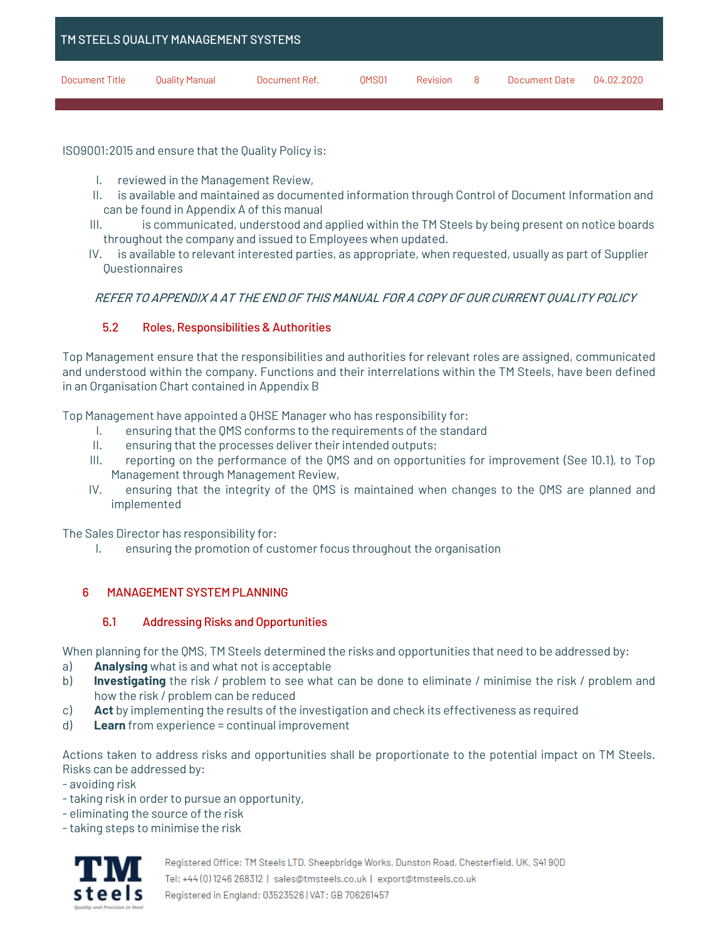|                | TM STEELS QUALITY MANAGEMENT SYSTEMS |               |                   |          |    |               |            |
|----------------|--------------------------------------|---------------|-------------------|----------|----|---------------|------------|
| Document Title | <b>Quality Manual</b>                | Document Ref. | OMS <sub>01</sub> | Revision | -8 | Document Date | 04.02.2020 |

ISO9001:2015 and ensure that the Quality Policy is:

- I. reviewed in the Management Review,
- II. is available and maintained as documented information through Control of Document Information and can be found in Appendix A of this manual
- III. is communicated, understood and applied within the TM Steels by being present on notice boards throughout the company and issued to Employees when updated.
- IV. is available to relevant interested parties, as appropriate, when requested, usually as part of Supplier Questionnaires

# REFER TO APPENDIX A AT THE END OF THIS MANUAL FOR A COPY OF OUR CURRENT QUALITY POLICY

# 5.2 Roles, Responsibilities & Authorities

Top Management ensure that the responsibilities and authorities for relevant roles are assigned, communicated and understood within the company. Functions and their interrelations within the TM Steels, have been defined in an Organisation Chart contained in Appendix B

Top Management have appointed a QHSE Manager who has responsibility for:

- I. ensuring that the QMS conforms to the requirements of the standard
- II. ensuring that the processes deliver their intended outputs;
- III. reporting on the performance of the QMS and on opportunities for improvement (See 10.1), to Top Management through Management Review,
- IV. ensuring that the integrity of the QMS is maintained when changes to the QMS are planned and implemented

The Sales Director has responsibility for:

I. ensuring the promotion of customer focus throughout the organisation

# 6 MANAGEMENT SYSTEM PLANNING

### 6.1 Addressing Risks and Opportunities

When planning for the QMS, TM Steels determined the risks and opportunities that need to be addressed by:

- a) **Analysing** what is and what not is acceptable
- b) **Investigating** the risk / problem to see what can be done to eliminate / minimise the risk / problem and how the risk / problem can be reduced
- c) **Act** by implementing the results of the investigation and check its effectiveness as required
- d) **Learn** from experience = continual improvement

Actions taken to address risks and opportunities shall be proportionate to the potential impact on TM Steels. Risks can be addressed by:

- avoiding risk
- taking risk in order to pursue an opportunity,
- eliminating the source of the risk
- taking steps to minimise the risk

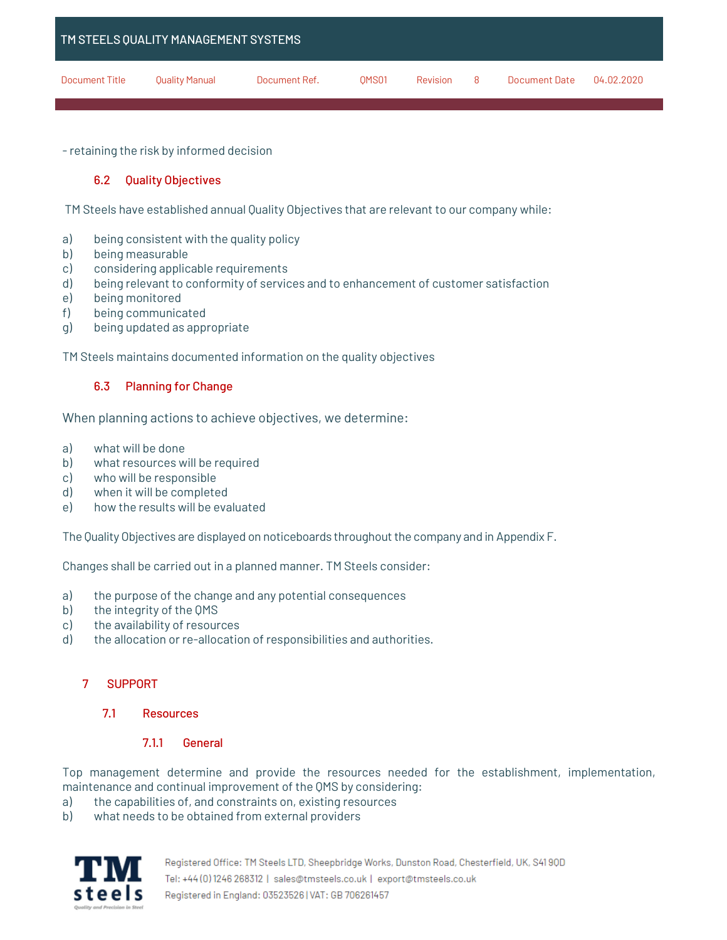

- retaining the risk by informed decision

### 6.2 Quality Objectives

TM Steels have established annual Quality Objectives that are relevant to our company while:

- a) being consistent with the quality policy
- b) being measurable
- c) considering applicable requirements
- d) being relevant to conformity of services and to enhancement of customer satisfaction
- e) being monitored
- f) being communicated
- g) being updated as appropriate

TM Steels maintains documented information on the quality objectives

### 6.3 Planning for Change

When planning actions to achieve objectives, we determine:

- a) what will be done
- b) what resources will be required
- c) who will be responsible
- d) when it will be completed
- e) how the results will be evaluated

The Quality Objectives are displayed on noticeboards throughout the company and in Appendix F.

Changes shall be carried out in a planned manner. TM Steels consider:

- a) the purpose of the change and any potential consequences
- b) the integrity of the QMS
- c) the availability of resources
- d) the allocation or re-allocation of responsibilities and authorities.

# 7 SUPPORT

7.1 Resources

#### 7.1.1 General

Top management determine and provide the resources needed for the establishment, implementation, maintenance and continual improvement of the QMS by considering:

- a) the capabilities of, and constraints on, existing resources
- b) what needs to be obtained from external providers

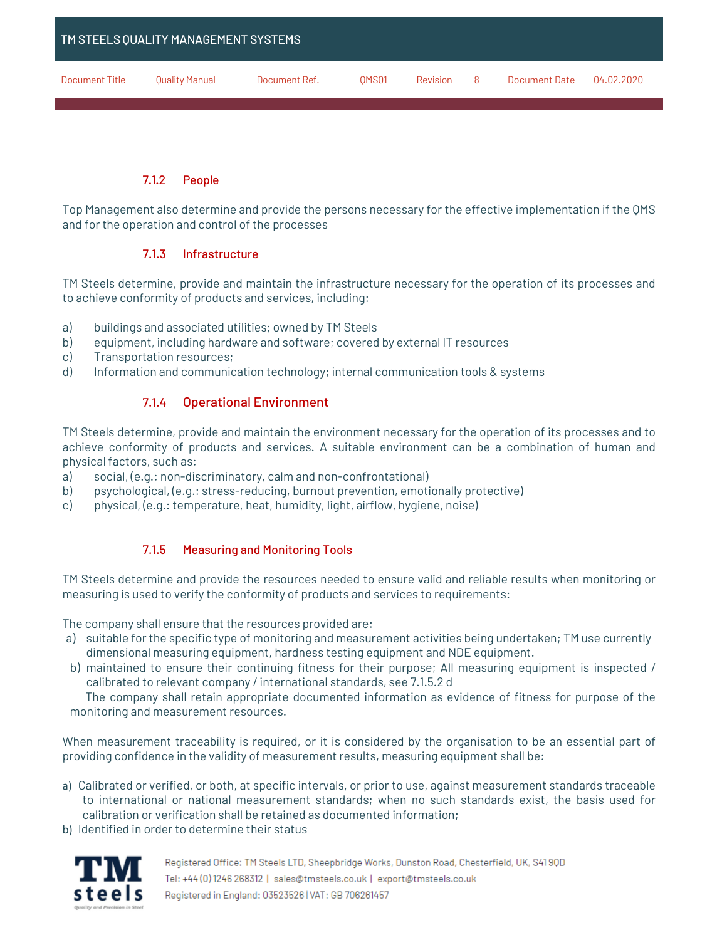

### 7.1.2 People

Top Management also determine and provide the persons necessary for the effective implementation if the QMS and for the operation and control of the processes

### 7.1.3 Infrastructure

TM Steels determine, provide and maintain the infrastructure necessary for the operation of its processes and to achieve conformity of products and services, including:

- a) buildings and associated utilities; owned by TM Steels
- b) equipment, including hardware and software; covered by external IT resources
- c) Transportation resources;
- d) Information and communication technology; internal communication tools & systems

# 7.1.4 Operational Environment

TM Steels determine, provide and maintain the environment necessary for the operation of its processes and to achieve conformity of products and services. A suitable environment can be a combination of human and physical factors, such as:

- a) social, (e.g.: non-discriminatory, calm and non-confrontational)
- b) psychological, (e.g.: stress-reducing, burnout prevention, emotionally protective)
- c) physical, (e.g.: temperature, heat, humidity, light, airflow, hygiene, noise)

# 7.1.5 Measuring and Monitoring Tools

TM Steels determine and provide the resources needed to ensure valid and reliable results when monitoring or measuring is used to verify the conformity of products and services to requirements:

The company shall ensure that the resources provided are:

- a) suitable for the specific type of monitoring and measurement activities being undertaken; TM use currently dimensional measuring equipment, hardness testing equipment and NDE equipment.
- b) maintained to ensure their continuing fitness for their purpose; All measuring equipment is inspected / calibrated to relevant company / international standards, see 7.1.5.2 d

 The company shall retain appropriate documented information as evidence of fitness for purpose of the monitoring and measurement resources.

When measurement traceability is required, or it is considered by the organisation to be an essential part of providing confidence in the validity of measurement results, measuring equipment shall be:

- a) Calibrated or verified, or both, at specific intervals, or prior to use, against measurement standards traceable to international or national measurement standards; when no such standards exist, the basis used for calibration or verification shall be retained as documented information;
- b) Identified in order to determine their status

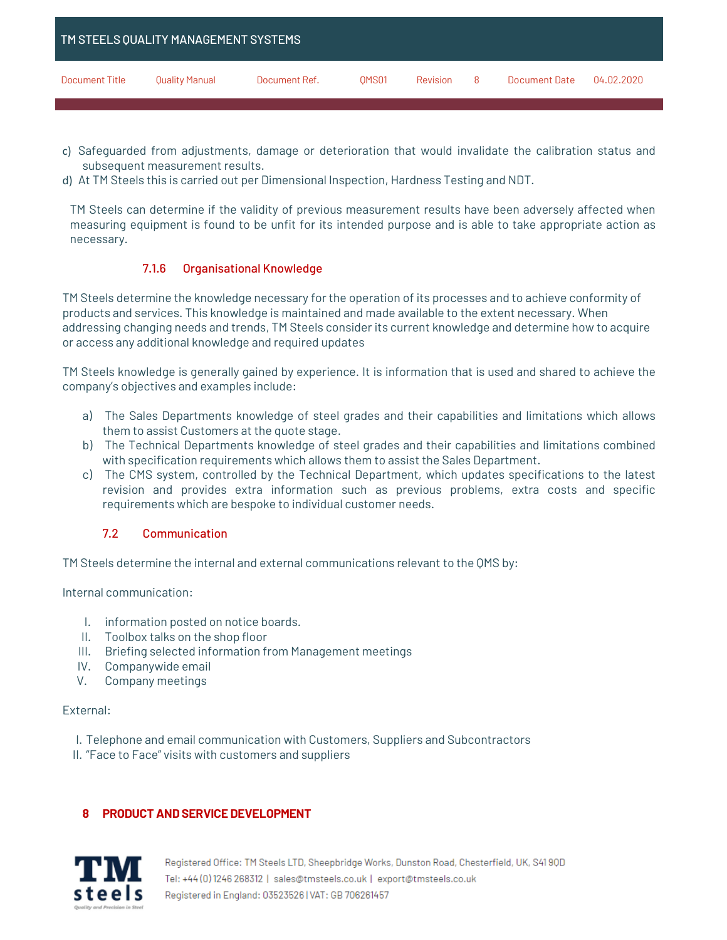|                | TM STEELS QUALITY MANAGEMENT SYSTEMS |               |                   |          |    |               |            |
|----------------|--------------------------------------|---------------|-------------------|----------|----|---------------|------------|
| Document Title | Quality Manual                       | Document Ref. | OMS <sub>01</sub> | Revision | -8 | Document Date | በ4.በ2.2በ2በ |

- c) Safeguarded from adjustments, damage or deterioration that would invalidate the calibration status and subsequent measurement results.
- d) At TM Steels this is carried out per Dimensional Inspection, Hardness Testing and NDT.

TM Steels can determine if the validity of previous measurement results have been adversely affected when measuring equipment is found to be unfit for its intended purpose and is able to take appropriate action as necessary.

### 7.1.6 Organisational Knowledge

TM Steels determine the knowledge necessary for the operation of its processes and to achieve conformity of products and services. This knowledge is maintained and made available to the extent necessary. When addressing changing needs and trends, TM Steels consider its current knowledge and determine how to acquire or access any additional knowledge and required updates

TM Steels knowledge is generally gained by experience. It is information that is used and shared to achieve the company's objectives and examples include:

- a) The Sales Departments knowledge of steel grades and their capabilities and limitations which allows them to assist Customers at the quote stage.
- b) The Technical Departments knowledge of steel grades and their capabilities and limitations combined with specification requirements which allows them to assist the Sales Department.
- c) The CMS system, controlled by the Technical Department, which updates specifications to the latest revision and provides extra information such as previous problems, extra costs and specific requirements which are bespoke to individual customer needs.

### 7.2 Communication

TM Steels determine the internal and external communications relevant to the QMS by:

Internal communication:

- I. information posted on notice boards.
- II. Toolbox talks on the shop floor
- III. Briefing selected information from Management meetings
- IV. Companywide email
- V. Company meetings

#### External:

- I. Telephone and email communication with Customers, Suppliers and Subcontractors
- II. "Face to Face" visits with customers and suppliers

# **8 PRODUCT AND SERVICE DEVELOPMENT**

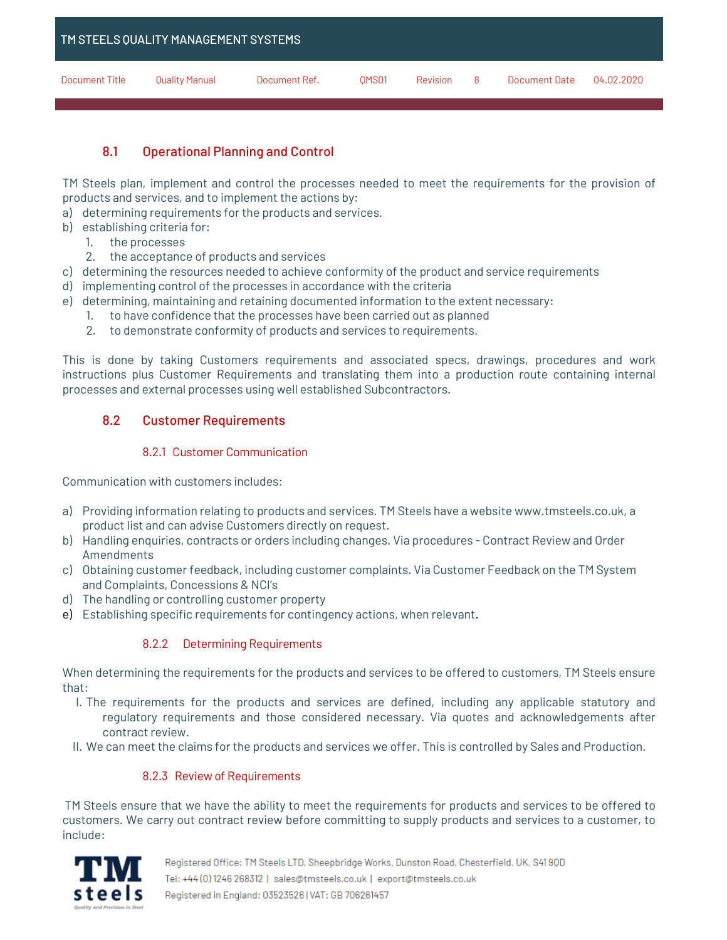|                | TM STEELS QUALITY MANAGEMENT SYSTEMS |               |       |          |   |               |            |
|----------------|--------------------------------------|---------------|-------|----------|---|---------------|------------|
| Document Title | Quality Manual                       | Document Ref. | OMS01 | Revision | 8 | Document Date | 04.02.2020 |

# 8.1 Operational Planning and Control

TM Steels plan, implement and control the processes needed to meet the requirements for the provision of products and services, and to implement the actions by:

a) determining requirements for the products and services.

- b) establishing criteria for:
	- 1. the processes
	- 2. the acceptance of products and services
- c) determining the resources needed to achieve conformity of the product and service requirements
- d) implementing control of the processes in accordance with the criteria
- e) determining, maintaining and retaining documented information to the extent necessary:
	- 1. to have confidence that the processes have been carried out as planned
	- 2. to demonstrate conformity of products and services to requirements.

This is done by taking Customers requirements and associated specs, drawings, procedures and work instructions plus Customer Requirements and translating them into a production route containing internal processes and external processes using well established Subcontractors.

# 8.2 Customer Requirements

### 8.2.1 Customer Communication

Communication with customers includes:

- a) Providing information relating to products and services. TM Steels have a website www.tmsteels.co.uk, a product list and can advise Customers directly on request.
- b) Handling enquiries, contracts or orders including changes. Via procedures Contract Review and Order Amendments
- c) Obtaining customer feedback, including customer complaints. Via Customer Feedback on the TM System and Complaints, Concessions & NCI's
- d) The handling or controlling customer property
- e) Establishing specific requirements for contingency actions, when relevant.

# 8.2.2 Determining Requirements

When determining the requirements for the products and services to be offered to customers, TM Steels ensure that:

- I. The requirements for the products and services are defined, including any applicable statutory and regulatory requirements and those considered necessary. Via quotes and acknowledgements after contract review.
- II. We can meet the claims for the products and services we offer. This is controlled by Sales and Production.

### 8.2.3 Review of Requirements

TM Steels ensure that we have the ability to meet the requirements for products and services to be offered to customers. We carry out contract review before committing to supply products and services to a customer, to include:

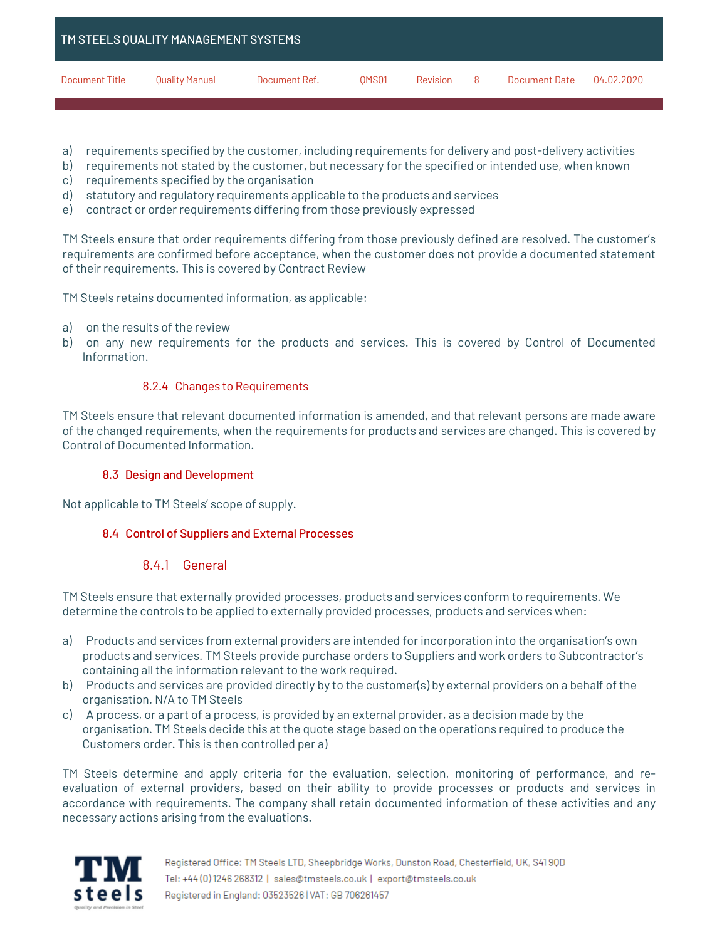|                       | TM STEELS QUALITY MANAGEMENT SYSTEMS |               |                   |          |     |               |            |
|-----------------------|--------------------------------------|---------------|-------------------|----------|-----|---------------|------------|
| <b>Document Title</b> | Quality Manual                       | Document Ref. | OMS <sub>01</sub> | Revision | - 8 | Document Date | 04.02.2020 |

- a) requirements specified by the customer, including requirements for delivery and post-delivery activities
- b) requirements not stated by the customer, but necessary for the specified or intended use, when known
- c) requirements specified by the organisation
- d) statutory and regulatory requirements applicable to the products and services
- e) contract or order requirements differing from those previously expressed

TM Steels ensure that order requirements differing from those previously defined are resolved. The customer's requirements are confirmed before acceptance, when the customer does not provide a documented statement of their requirements. This is covered by Contract Review

TM Steels retains documented information, as applicable:

- a) on the results of the review
- b) on any new requirements for the products and services. This is covered by Control of Documented Information.

### 8.2.4 Changes to Requirements

TM Steels ensure that relevant documented information is amended, and that relevant persons are made aware of the changed requirements, when the requirements for products and services are changed. This is covered by Control of Documented Information.

### 8.3 Design and Development

Not applicable to TM Steels' scope of supply.

### 8.4 Control of Suppliers and External Processes

### 8.4.1 General

TM Steels ensure that externally provided processes, products and services conform to requirements. We determine the controls to be applied to externally provided processes, products and services when:

- a) Products and services from external providers are intended for incorporation into the organisation's own products and services. TM Steels provide purchase orders to Suppliers and work orders to Subcontractor's containing all the information relevant to the work required.
- b) Products and services are provided directly by to the customer(s) by external providers on a behalf of the organisation. N/A to TM Steels
- c) A process, or a part of a process, is provided by an external provider, as a decision made by the organisation. TM Steels decide this at the quote stage based on the operations required to produce the Customers order. This is then controlled per a)

TM Steels determine and apply criteria for the evaluation, selection, monitoring of performance, and reevaluation of external providers, based on their ability to provide processes or products and services in accordance with requirements. The company shall retain documented information of these activities and any necessary actions arising from the evaluations.

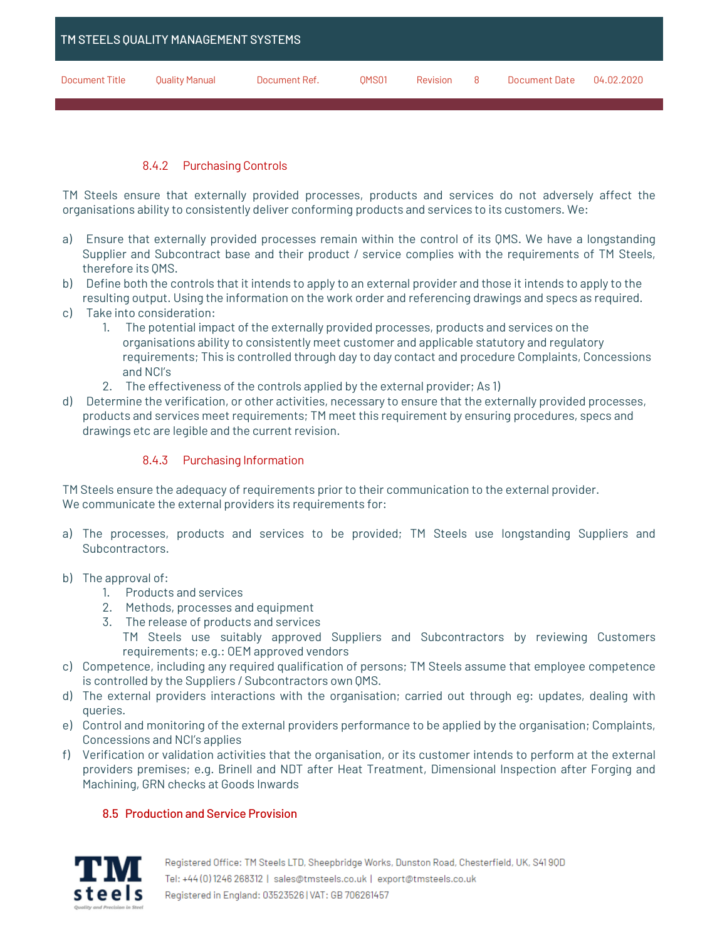|                | TM STEELS QUALITY MANAGEMENT SYSTEMS |               |                   |          |     |               |            |
|----------------|--------------------------------------|---------------|-------------------|----------|-----|---------------|------------|
| Document Title | Quality Manual                       | Document Ref. | OMS <sub>01</sub> | Revision | - 8 | Document Date | በ4.በ2.2በ2በ |

# 8.4.2 Purchasing Controls

TM Steels ensure that externally provided processes, products and services do not adversely affect the organisations ability to consistently deliver conforming products and services to its customers. We:

- a) Ensure that externally provided processes remain within the control of its QMS. We have a longstanding Supplier and Subcontract base and their product / service complies with the requirements of TM Steels, therefore its QMS.
- b) Define both the controls that it intends to apply to an external provider and those it intends to apply to the resulting output. Using the information on the work order and referencing drawings and specs as required.
- c) Take into consideration:
	- 1. The potential impact of the externally provided processes, products and services on the organisations ability to consistently meet customer and applicable statutory and regulatory requirements; This is controlled through day to day contact and procedure Complaints, Concessions and NCI's
	- 2. The effectiveness of the controls applied by the external provider; As 1)
- d) Determine the verification, or other activities, necessary to ensure that the externally provided processes, products and services meet requirements; TM meet this requirement by ensuring procedures, specs and drawings etc are legible and the current revision.

### 8.4.3 Purchasing Information

TM Steels ensure the adequacy of requirements prior to their communication to the external provider. We communicate the external providers its requirements for:

- a) The processes, products and services to be provided; TM Steels use longstanding Suppliers and Subcontractors.
- b) The approval of:
	- 1. Products and services
	- 2. Methods, processes and equipment
	- 3. The release of products and services
		- TM Steels use suitably approved Suppliers and Subcontractors by reviewing Customers requirements; e.g.: OEM approved vendors
- c) Competence, including any required qualification of persons; TM Steels assume that employee competence is controlled by the Suppliers / Subcontractors own QMS.
- d) The external providers interactions with the organisation; carried out through eg: updates, dealing with queries.
- e) Control and monitoring of the external providers performance to be applied by the organisation; Complaints, Concessions and NCI's applies
- f) Verification or validation activities that the organisation, or its customer intends to perform at the external providers premises; e.g. Brinell and NDT after Heat Treatment, Dimensional Inspection after Forging and Machining, GRN checks at Goods Inwards

### 8.5 Production and Service Provision

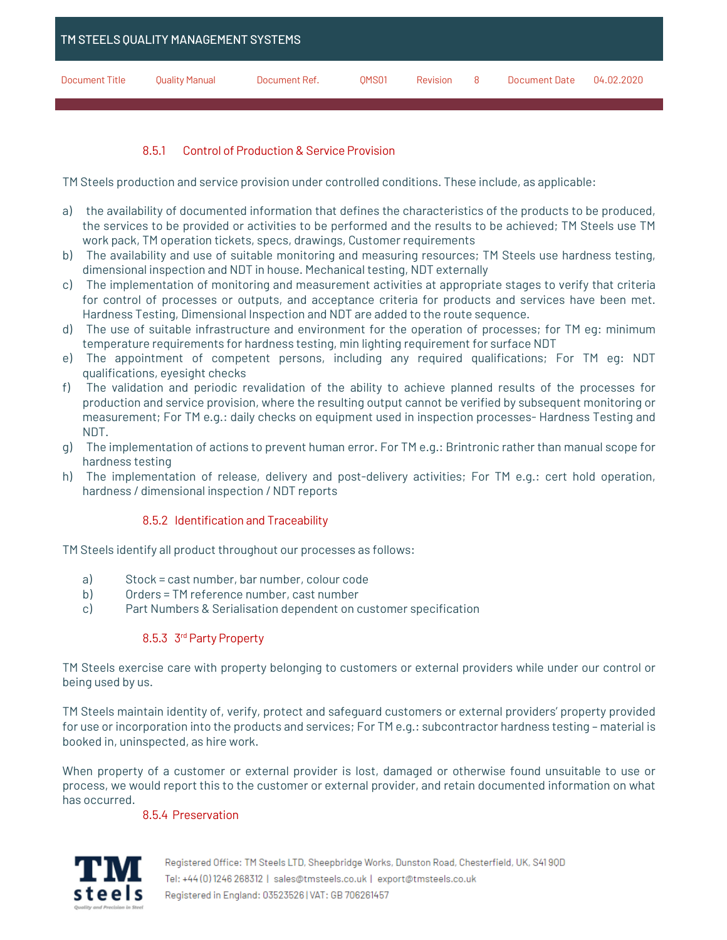| TM STEELS QUALITY MANAGEMENT SYSTEMS |                |               |                   |          |    |               |            |
|--------------------------------------|----------------|---------------|-------------------|----------|----|---------------|------------|
| Document Title                       | Quality Manual | Document Ref. | OMS <sub>01</sub> | Revision | -8 | Document Date | 04.02.2020 |

# 8.5.1 Control of Production & Service Provision

TM Steels production and service provision under controlled conditions. These include, as applicable:

- a) the availability of documented information that defines the characteristics of the products to be produced, the services to be provided or activities to be performed and the results to be achieved; TM Steels use TM work pack, TM operation tickets, specs, drawings, Customer requirements
- b) The availability and use of suitable monitoring and measuring resources; TM Steels use hardness testing, dimensional inspection and NDT in house. Mechanical testing, NDT externally
- c) The implementation of monitoring and measurement activities at appropriate stages to verify that criteria for control of processes or outputs, and acceptance criteria for products and services have been met. Hardness Testing, Dimensional Inspection and NDT are added to the route sequence.
- d) The use of suitable infrastructure and environment for the operation of processes; for TM eg: minimum temperature requirements for hardness testing, min lighting requirement for surface NDT
- e) The appointment of competent persons, including any required qualifications; For TM eg: NDT qualifications, eyesight checks
- f) The validation and periodic revalidation of the ability to achieve planned results of the processes for production and service provision, where the resulting output cannot be verified by subsequent monitoring or measurement; For TM e.g.: daily checks on equipment used in inspection processes- Hardness Testing and NDT.
- g) The implementation of actions to prevent human error. For TM e.g.: Brintronic rather than manual scope for hardness testing
- h) The implementation of release, delivery and post-delivery activities; For TM e.g.: cert hold operation, hardness / dimensional inspection / NDT reports

### 8.5.2 Identification and Traceability

TM Steels identify all product throughout our processes as follows:

- a) Stock = cast number, bar number, colour code
- b) Orders = TM reference number, cast number
- c) Part Numbers & Serialisation dependent on customer specification

# 8.5.3 3rd Party Property

TM Steels exercise care with property belonging to customers or external providers while under our control or being used by us.

TM Steels maintain identity of, verify, protect and safeguard customers or external providers' property provided for use or incorporation into the products and services; For TM e.g.: subcontractor hardness testing – material is booked in, uninspected, as hire work.

When property of a customer or external provider is lost, damaged or otherwise found unsuitable to use or process, we would report this to the customer or external provider, and retain documented information on what has occurred.

### 8.5.4 Preservation

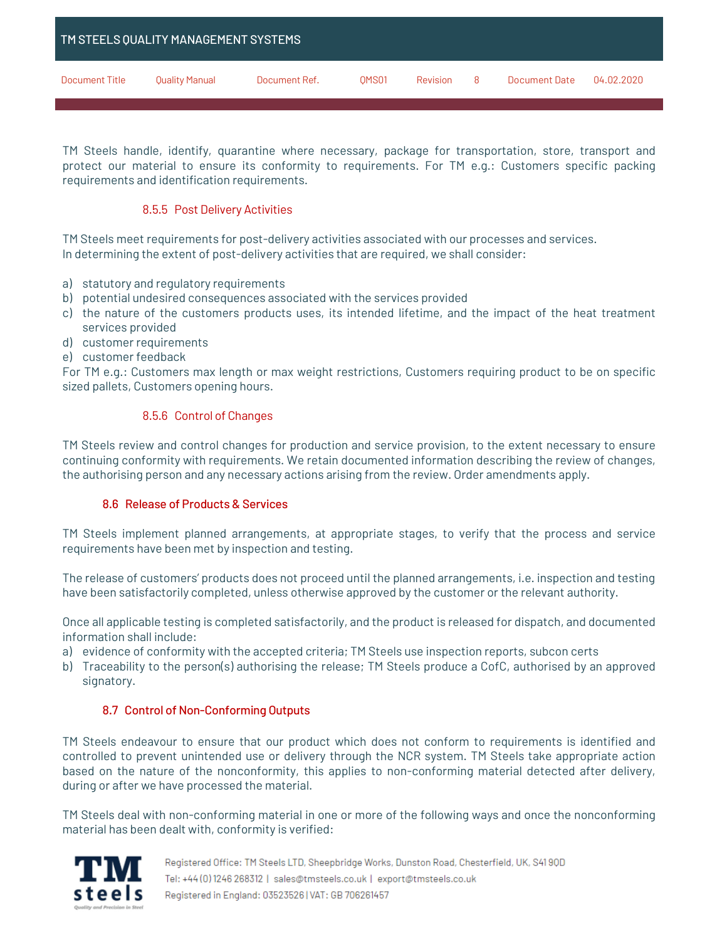| TM STEELS QUALITY MANAGEMENT SYSTEMS |                |               |       |          |    |               |            |
|--------------------------------------|----------------|---------------|-------|----------|----|---------------|------------|
| <b>Document Title</b>                | Quality Manual | Document Ref. | OMS01 | Revision | -8 | Document Date | 04.02.2020 |

TM Steels handle, identify, quarantine where necessary, package for transportation, store, transport and protect our material to ensure its conformity to requirements. For TM e.g.: Customers specific packing requirements and identification requirements.

### 8.5.5 Post Delivery Activities

TM Steels meet requirements for post-delivery activities associated with our processes and services. In determining the extent of post-delivery activities that are required, we shall consider:

- a) statutory and regulatory requirements
- b) potential undesired consequences associated with the services provided
- c) the nature of the customers products uses, its intended lifetime, and the impact of the heat treatment services provided
- d) customer requirements
- e) customer feedback

For TM e.g.: Customers max length or max weight restrictions, Customers requiring product to be on specific sized pallets, Customers opening hours.

### 8.5.6 Control of Changes

TM Steels review and control changes for production and service provision, to the extent necessary to ensure continuing conformity with requirements. We retain documented information describing the review of changes, the authorising person and any necessary actions arising from the review. Order amendments apply.

### 8.6 Release of Products & Services

TM Steels implement planned arrangements, at appropriate stages, to verify that the process and service requirements have been met by inspection and testing.

The release of customers' products does not proceed until the planned arrangements, i.e. inspection and testing have been satisfactorily completed, unless otherwise approved by the customer or the relevant authority.

Once all applicable testing is completed satisfactorily, and the product is released for dispatch, and documented information shall include:

- a) evidence of conformity with the accepted criteria; TM Steels use inspection reports, subcon certs
- b) Traceability to the person(s) authorising the release; TM Steels produce a CofC, authorised by an approved signatory.

### 8.7 Control of Non-Conforming Outputs

TM Steels endeavour to ensure that our product which does not conform to requirements is identified and controlled to prevent unintended use or delivery through the NCR system. TM Steels take appropriate action based on the nature of the nonconformity, this applies to non-conforming material detected after delivery, during or after we have processed the material.

TM Steels deal with non-conforming material in one or more of the following ways and once the nonconforming material has been dealt with, conformity is verified:

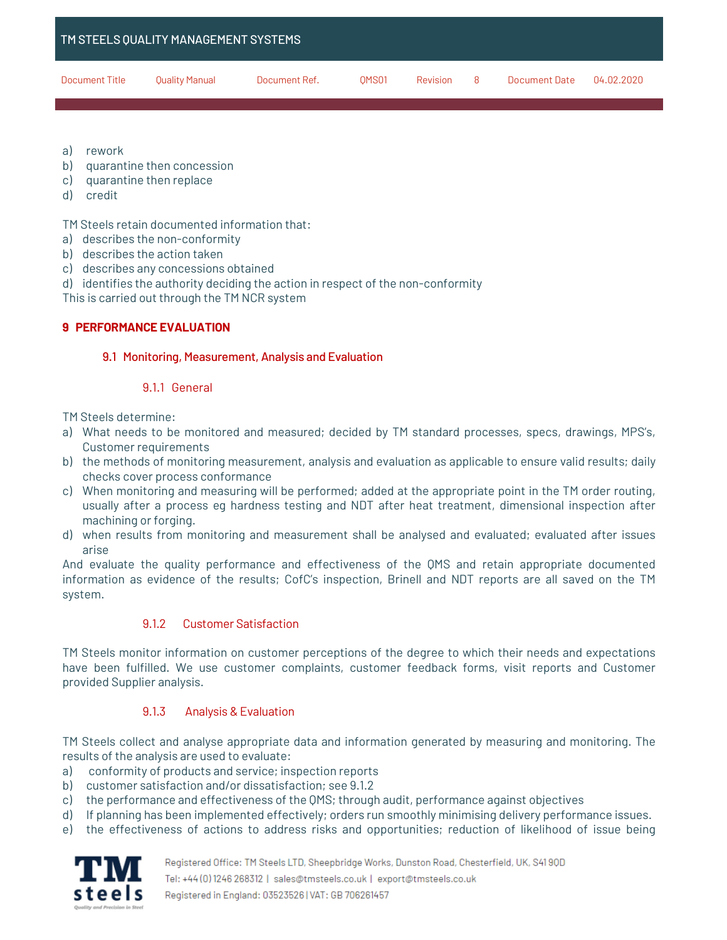| TM STEELS QUALITY MANAGEMENT SYSTEMS |                       |               |                   |          |   |               |            |
|--------------------------------------|-----------------------|---------------|-------------------|----------|---|---------------|------------|
| Document Title                       | <b>Quality Manual</b> | Document Ref. | OMS <sub>01</sub> | Revision | 8 | Document Date | 04.02.2020 |

- a) rework
- b) quarantine then concession
- c) quarantine then replace
- d) credit

TM Steels retain documented information that:

- a) describes the non-conformity
- b) describes the action taken
- c) describes any concessions obtained
- d) identifies the authority deciding the action in respect of the non-conformity

This is carried out through the TM NCR system

# **9 PERFORMANCE EVALUATION**

### 9.1 Monitoring, Measurement, Analysis and Evaluation

### 9.1.1 General

TM Steels determine:

- a) What needs to be monitored and measured; decided by TM standard processes, specs, drawings, MPS's, Customer requirements
- b) the methods of monitoring measurement, analysis and evaluation as applicable to ensure valid results; daily checks cover process conformance
- c) When monitoring and measuring will be performed; added at the appropriate point in the TM order routing, usually after a process eg hardness testing and NDT after heat treatment, dimensional inspection after machining or forging.
- d) when results from monitoring and measurement shall be analysed and evaluated; evaluated after issues arise

And evaluate the quality performance and effectiveness of the QMS and retain appropriate documented information as evidence of the results; CofC's inspection, Brinell and NDT reports are all saved on the TM system.

### 9.1.2 Customer Satisfaction

TM Steels monitor information on customer perceptions of the degree to which their needs and expectations have been fulfilled. We use customer complaints, customer feedback forms, visit reports and Customer provided Supplier analysis.

### 9.1.3 Analysis & Evaluation

TM Steels collect and analyse appropriate data and information generated by measuring and monitoring. The results of the analysis are used to evaluate:

- a) conformity of products and service; inspection reports
- b) customer satisfaction and/or dissatisfaction; see 9.1.2
- c) the performance and effectiveness of the QMS; through audit, performance against objectives
- d) If planning has been implemented effectively; orders run smoothly minimising delivery performance issues.
- e) the effectiveness of actions to address risks and opportunities; reduction of likelihood of issue being

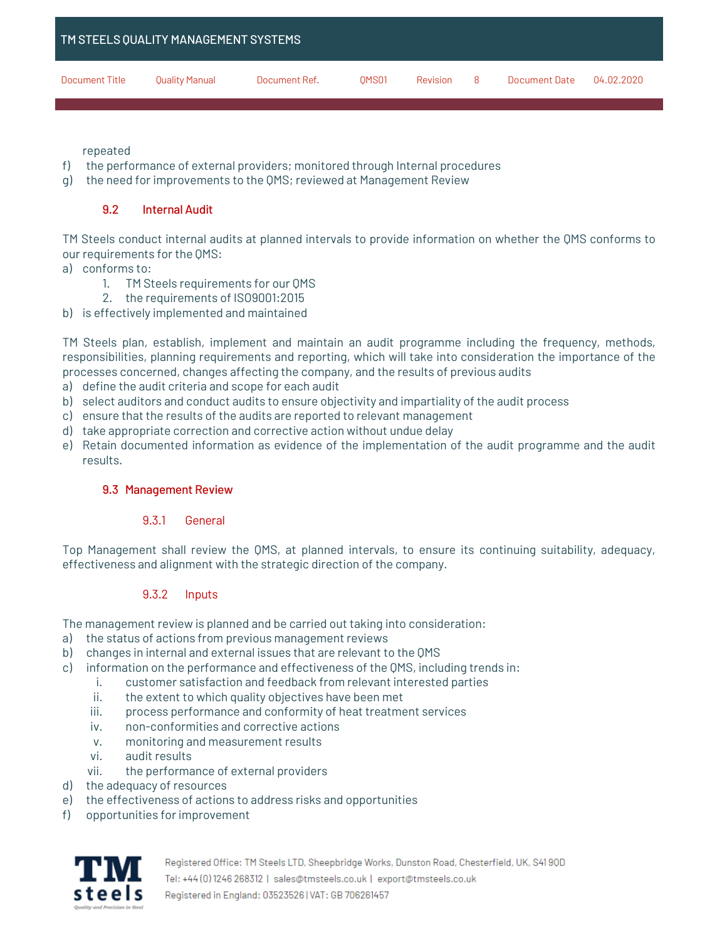| TM STEELS QUALITY MANAGEMENT SYSTEMS |                |               |       |          |    |               |            |
|--------------------------------------|----------------|---------------|-------|----------|----|---------------|------------|
| Document Title                       | Quality Manual | Document Ref. | OMS01 | Revision | -8 | Document Date | 04.02.2020 |

repeated

- f) the performance of external providers; monitored through Internal procedures
- g) the need for improvements to the QMS; reviewed at Management Review

### 9.2 Internal Audit

TM Steels conduct internal audits at planned intervals to provide information on whether the QMS conforms to our requirements for the QMS:

- a) conforms to:
	- 1. TM Steels requirements for our QMS
	- 2. the requirements of ISO9001:2015
- b) is effectively implemented and maintained

TM Steels plan, establish, implement and maintain an audit programme including the frequency, methods, responsibilities, planning requirements and reporting, which will take into consideration the importance of the processes concerned, changes affecting the company, and the results of previous audits

- a) define the audit criteria and scope for each audit
- b) select auditors and conduct audits to ensure objectivity and impartiality of the audit process
- c) ensure that the results of the audits are reported to relevant management
- d) take appropriate correction and corrective action without undue delay
- e) Retain documented information as evidence of the implementation of the audit programme and the audit results.

### 9.3 Management Review

### 9.3.1 General

Top Management shall review the QMS, at planned intervals, to ensure its continuing suitability, adequacy, effectiveness and alignment with the strategic direction of the company.

# 9.3.2 Inputs

The management review is planned and be carried out taking into consideration:

- a) the status of actions from previous management reviews
- b) changes in internal and external issues that are relevant to the QMS
- c) information on the performance and effectiveness of the QMS, including trends in:
	- i. customer satisfaction and feedback from relevant interested parties
		- ii. the extent to which quality objectives have been met
	- iii. process performance and conformity of heat treatment services
	- iv. non-conformities and corrective actions
	- v. monitoring and measurement results
	- vi. audit results
	- vii. the performance of external providers
- d) the adequacy of resources
- e) the effectiveness of actions to address risks and opportunities
- f) opportunities for improvement



Registered Office: TM Steels LTD, Sheepbridge Works, Dunston Road, Chesterfield, UK, S41 90D Tel: +44(0)1246 268312 | sales@tmsteels.co.uk | export@tmsteels.co.uk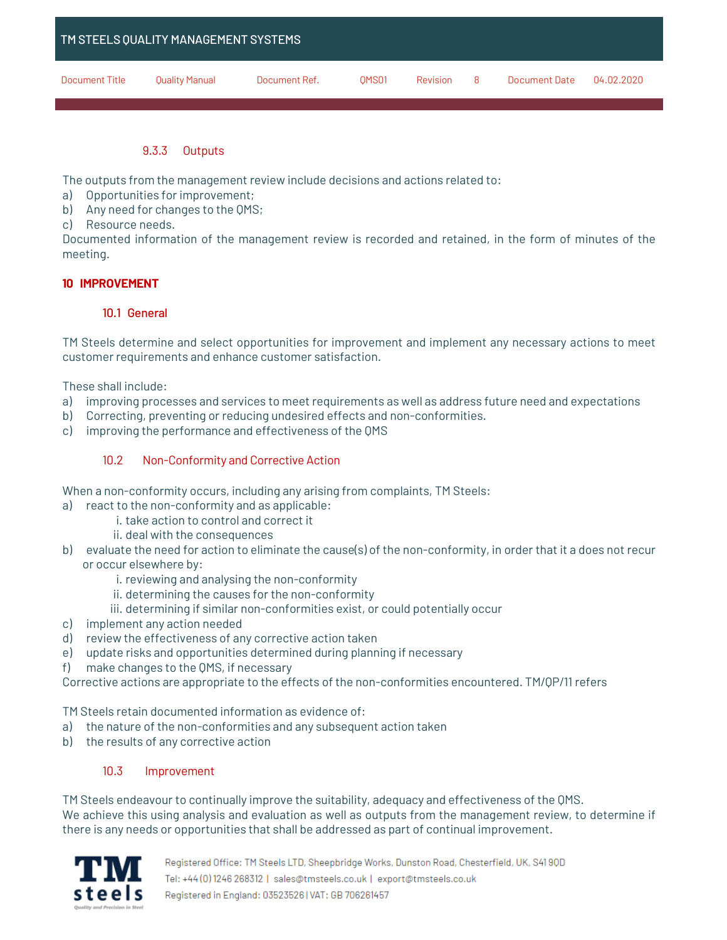

# 9.3.3 Outputs

The outputs from the management review include decisions and actions related to:

- a) Opportunities for improvement;
- b) Any need for changes to the QMS;
- c) Resource needs.

Documented information of the management review is recorded and retained, in the form of minutes of the meeting.

# **10 IMPROVEMENT**

### 10.1 General

TM Steels determine and select opportunities for improvement and implement any necessary actions to meet customer requirements and enhance customer satisfaction.

These shall include:

- a) improving processes and services to meet requirements as well as address future need and expectations
- b) Correcting, preventing or reducing undesired effects and non-conformities.
- c) improving the performance and effectiveness of the QMS

# 10.2 Non-Conformity and Corrective Action

When a non-conformity occurs, including any arising from complaints, TM Steels:

- a) react to the non-conformity and as applicable:
	- i. take action to control and correct it
		- ii. deal with the consequences
- b) evaluate the need for action to eliminate the cause(s) of the non-conformity, in order that it a does not recur or occur elsewhere by:
	- i. reviewing and analysing the non-conformity
	- ii. determining the causes for the non-conformity
	- iii. determining if similar non-conformities exist, or could potentially occur
- c) implement any action needed
- d) review the effectiveness of any corrective action taken
- e) update risks and opportunities determined during planning if necessary
- f) make changes to the QMS, if necessary

Corrective actions are appropriate to the effects of the non-conformities encountered. TM/QP/11 refers

TM Steels retain documented information as evidence of:

- a) the nature of the non-conformities and any subsequent action taken
- b) the results of any corrective action

### 10.3 Improvement

TM Steels endeavour to continually improve the suitability, adequacy and effectiveness of the QMS. We achieve this using analysis and evaluation as well as outputs from the management review, to determine if there is any needs or opportunities that shall be addressed as part of continual improvement.

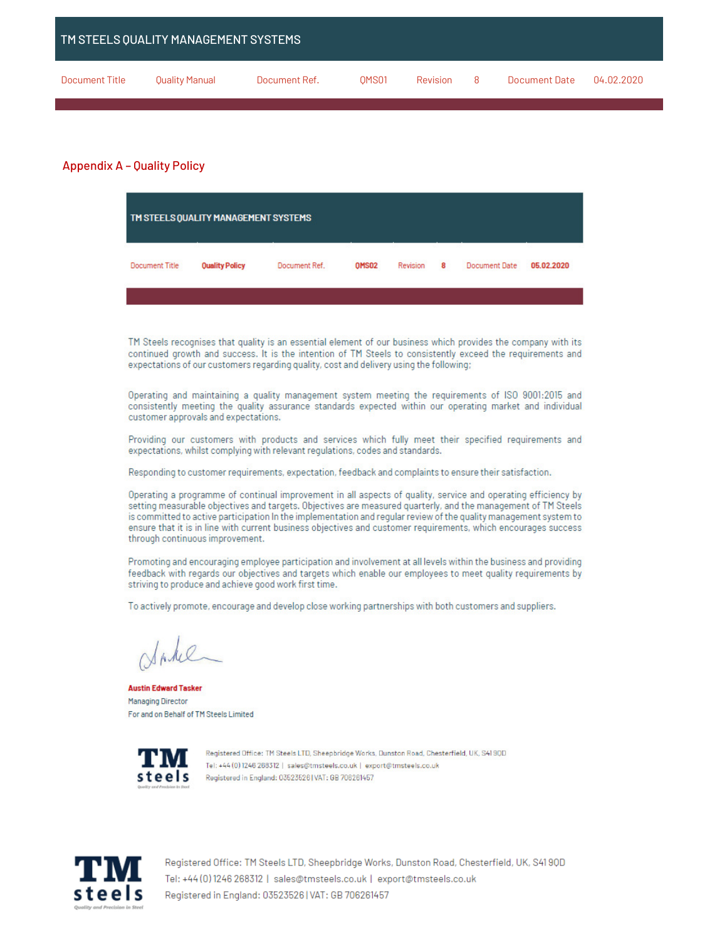| TM STEELS QUALITY MANAGEMENT SYSTEMS |                |               |                   |          |    |               |            |
|--------------------------------------|----------------|---------------|-------------------|----------|----|---------------|------------|
| Document Title                       | Quality Manual | Document Ref. | OMS <sub>01</sub> | Revision | -8 | Document Date | 04.02.2020 |

### Appendix A – Quality Policy

| TM STEELS QUALITY MANAGEMENT SYSTEMS |                       |               |              |          |   |               |            |
|--------------------------------------|-----------------------|---------------|--------------|----------|---|---------------|------------|
| <b>Document Title</b>                | <b>Quality Policy</b> | Document Ref. | <b>OMS02</b> | Revision | 8 | Document Date | 05.02.2020 |
|                                      |                       |               |              |          |   |               |            |

TM Steels recognises that quality is an essential element of our business which provides the company with its continued growth and success. It is the intention of TM Steels to consistently exceed the requirements and expectations of our customers regarding quality, cost and delivery using the following;

Operating and maintaining a quality management system meeting the requirements of ISO 9001:2015 and consistently meeting the quality assurance standards expected within our operating market and individual customer approvals and expectations.

Providing our customers with products and services which fully meet their specified requirements and expectations, whilst complying with relevant regulations, codes and standards.

Responding to customer requirements, expectation, feedback and complaints to ensure their satisfaction.

Operating a programme of continual improvement in all aspects of quality, service and operating efficiency by setting measurable objectives and targets. Objectives are measured quarterly, and the management of TM Steels is committed to active participation In the implementation and regular review of the quality management system to ensure that it is in line with current business objectives and customer requirements, which encourages success through continuous improvement.

Promoting and encouraging employee participation and involvement at all levels within the business and providing feedback with regards our objectives and targets which enable our employees to meet quality requirements by striving to produce and achieve good work first time.

To actively promote, encourage and develop close working partnerships with both customers and suppliers.

**Austin Edward Tasker Managing Director** For and on Behalf of TM Steels Limited



Registered Office: TM Steels LTD, Sheepbridge Works, Dunston Road, Chesterfield, UK, S4190D Tel: +44 (0) 1246 268312 | sales@tmsteels.co.uk | export@tmsteels.co.uk Registered in England: 03523526 | VAT: GB 706261457

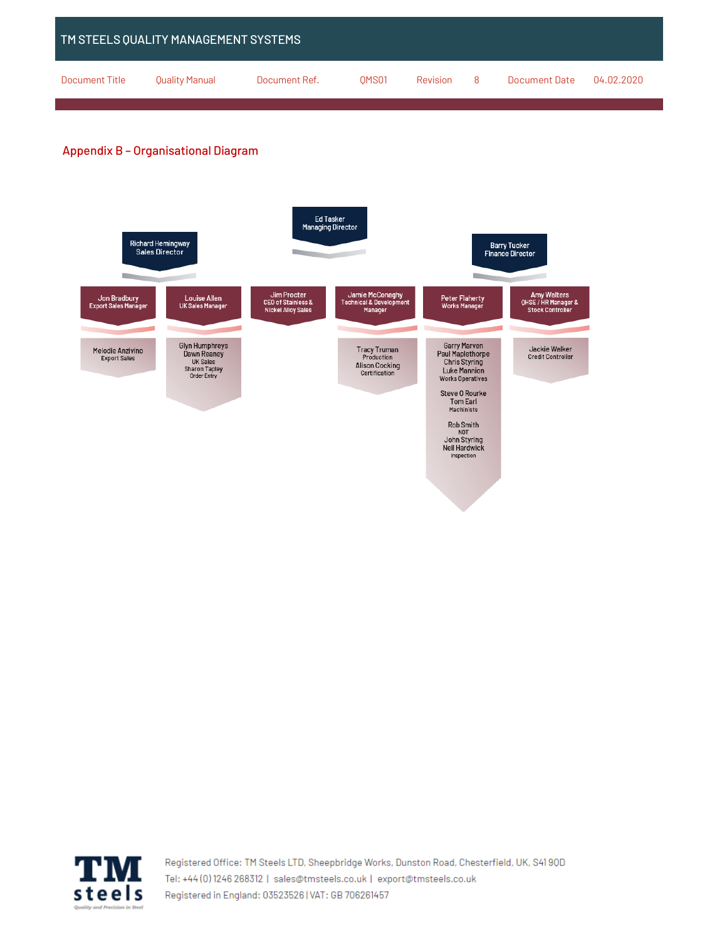| TM STEELS QUALITY MANAGEMENT SYSTEMS |                       |               |                   |          |    |               |            |
|--------------------------------------|-----------------------|---------------|-------------------|----------|----|---------------|------------|
| Document Title                       | <b>Quality Manual</b> | Document Ref. | OMS <sub>01</sub> | Revision | -8 | Document Date | 04.02.2020 |

# Appendix B – Organisational Diagram



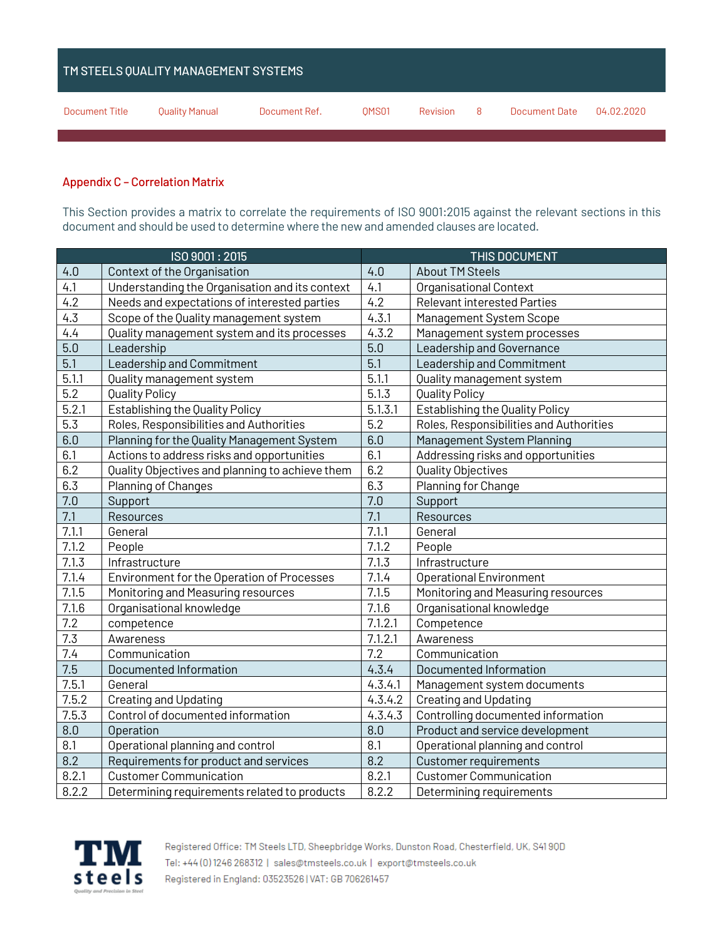| TM STEELS QUALITY MANAGEMENT SYSTEMS |                |               |       |          |   |               |            |
|--------------------------------------|----------------|---------------|-------|----------|---|---------------|------------|
| Document Title                       | Quality Manual | Document Ref. | OMS01 | Revision | 8 | Document Date | 04.02.2020 |

# Appendix C – Correlation Matrix

This Section provides a matrix to correlate the requirements of ISO 9001:2015 against the relevant sections in this document and should be used to determine where the new and amended clauses are located.

|                  | ISO 9001: 2015                                  |         | THIS DOCUMENT                           |
|------------------|-------------------------------------------------|---------|-----------------------------------------|
| 4.0              | Context of the Organisation                     | 4.0     | <b>About TM Steels</b>                  |
| 4.1              | Understanding the Organisation and its context  | 4.1     | <b>Organisational Context</b>           |
| 4.2              | Needs and expectations of interested parties    | 4.2     | <b>Relevant interested Parties</b>      |
| 4.3              | Scope of the Quality management system          | 4.3.1   | Management System Scope                 |
| 4.4              | Quality management system and its processes     | 4.3.2   | Management system processes             |
| 5.0              | Leadership                                      | 5.0     | Leadership and Governance               |
| 5.1              | Leadership and Commitment                       | 5.1     | Leadership and Commitment               |
| 5.1.1            | Quality management system                       | 5.1.1   | Quality management system               |
| $\overline{5.2}$ | Quality Policy                                  | 5.1.3   | Quality Policy                          |
| 5.2.1            | Establishing the Quality Policy                 | 5.1.3.1 | Establishing the Quality Policy         |
| 5.3              | Roles, Responsibilities and Authorities         | 5.2     | Roles, Responsibilities and Authorities |
| 6.0              | Planning for the Quality Management System      | 6.0     | Management System Planning              |
| 6.1              | Actions to address risks and opportunities      | 6.1     | Addressing risks and opportunities      |
| 6.2              | Quality Objectives and planning to achieve them | 6.2     | Quality Objectives                      |
| 6.3              | Planning of Changes                             | 6.3     | Planning for Change                     |
| 7.0              | Support                                         | 7.0     | Support                                 |
| 7.1              | Resources                                       | 7.1     | Resources                               |
| 7.1.1            | General                                         | 7.1.1   | General                                 |
| 7.1.2            | People                                          | 7.1.2   | People                                  |
| 7.1.3            | Infrastructure                                  | 7.1.3   | Infrastructure                          |
| 7.1.4            | Environment for the Operation of Processes      | 7.1.4   | <b>Operational Environment</b>          |
| 7.1.5            | Monitoring and Measuring resources              | 7.1.5   | Monitoring and Measuring resources      |
| 7.1.6            | Organisational knowledge                        | 7.1.6   | Organisational knowledge                |
| 7.2              | competence                                      | 7.1.2.1 | Competence                              |
| 7.3              | Awareness                                       | 7.1.2.1 | Awareness                               |
| 7.4              | Communication                                   | 7.2     | Communication                           |
| 7.5              | Documented Information                          | 4.3.4   | Documented Information                  |
| 7.5.1            | General                                         | 4.3.4.1 | Management system documents             |
| 7.5.2            | <b>Creating and Updating</b>                    | 4.3.4.2 | <b>Creating and Updating</b>            |
| 7.5.3            | Control of documented information               | 4.3.4.3 | Controlling documented information      |
| 8.0              | Operation                                       | 8.0     | Product and service development         |
| 8.1              | Operational planning and control                | 8.1     | Operational planning and control        |
| 8.2              | Requirements for product and services           | 8.2     | Customer requirements                   |
| 8.2.1            | <b>Customer Communication</b>                   | 8.2.1   | <b>Customer Communication</b>           |
| 8.2.2            | Determining requirements related to products    | 8.2.2   | Determining requirements                |